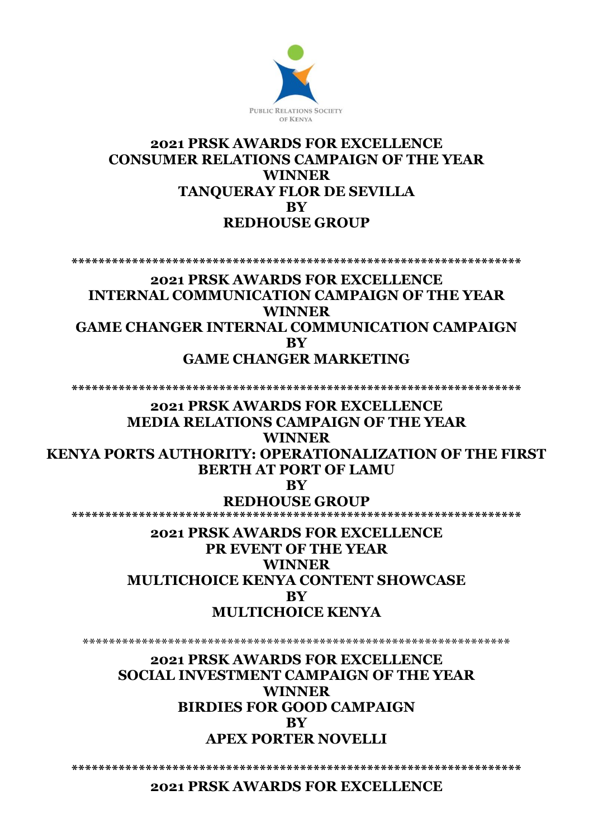

# **2021 PRSK AWARDS FOR EXCELLENCE CONSUMER RELATIONS CAMPAIGN OF THE YEAR WINNER TANQUERAY FLOR DE SEVILLA BY REDHOUSE GROUP**

**\*\*\*\*\*\*\*\*\*\*\*\*\*\*\*\*\*\*\*\*\*\*\*\*\*\*\*\*\*\*\*\*\*\*\*\*\*\*\*\*\*\*\*\*\*\*\*\*\*\*\*\*\*\*\*\*\*\*\*\*\*\*\*\*\*\*\*** 

## **2021 PRSK AWARDS FOR EXCELLENCE INTERNAL COMMUNICATION CAMPAIGN OF THE YEAR WINNER GAME CHANGER INTERNAL COMMUNICATION CAMPAIGN BY GAME CHANGER MARKETING**

**\*\*\*\*\*\*\*\*\*\*\*\*\*\*\*\*\*\*\*\*\*\*\*\*\*\*\*\*\*\*\*\*\*\*\*\*\*\*\*\*\*\*\*\*\*\*\*\*\*\*\*\*\*\*\*\*\*\*\*\*\*\*\*\*\*\*\*** 

**2021 PRSK AWARDS FOR EXCELLENCE MEDIA RELATIONS CAMPAIGN OF THE YEAR WINNER KENYA PORTS AUTHORITY: OPERATIONALIZATION OF THE FIRST** 

**BERTH AT PORT OF LAMU BY**

**REDHOUSE GROUP** 

**\*\*\*\*\*\*\*\*\*\*\*\*\*\*\*\*\*\*\*\*\*\*\*\*\*\*\*\*\*\*\*\*\*\*\*\*\*\*\*\*\*\*\*\*\*\*\*\*\*\*\*\*\*\*\*\*\*\*\*\*\*\*\*\*\*\*\*** 

**2021 PRSK AWARDS FOR EXCELLENCE PR EVENT OF THE YEAR WINNER MULTICHOICE KENYA CONTENT SHOWCASE BY MULTICHOICE KENYA** 

\*\*\*\*\*\*\*\*\*\*\*\*\*\*\*\*\*\*\*\*\*\*\*\*\*\*\*\*\*\*\*\*\*\*\*\*\*\*\*\*\*\*\*\*\*\*\*\*\*\*\*\*\*\*\*\*\*\*\*\*\*\*\*\*\*

**2021 PRSK AWARDS FOR EXCELLENCE SOCIAL INVESTMENT CAMPAIGN OF THE YEAR WINNER BIRDIES FOR GOOD CAMPAIGN BY APEX PORTER NOVELLI** 

**\*\*\*\*\*\*\*\*\*\*\*\*\*\*\*\*\*\*\*\*\*\*\*\*\*\*\*\*\*\*\*\*\*\*\*\*\*\*\*\*\*\*\*\*\*\*\*\*\*\*\*\*\*\*\*\*\*\*\*\*\*\*\*\*\*\*\*** 

**2021 PRSK AWARDS FOR EXCELLENCE**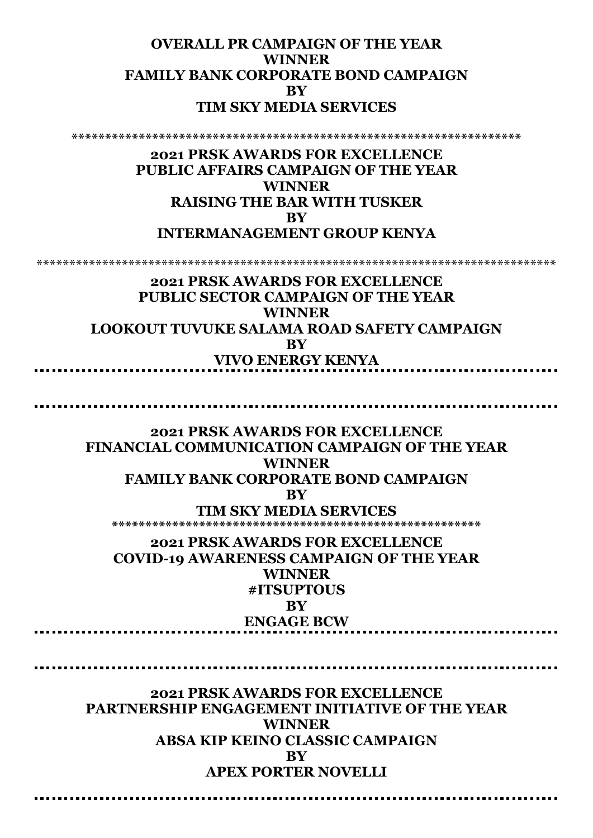# **OVERALL PR CAMPAIGN OF THE YEAR WINNER FAMILY BANK CORPORATE BOND CAMPAIGN BY TIM SKY MEDIA SERVICES**

**\*\*\*\*\*\*\*\*\*\*\*\*\*\*\*\*\*\*\*\*\*\*\*\*\*\*\*\*\*\*\*\*\*\*\*\*\*\*\*\*\*\*\*\*\*\*\*\*\*\*\*\*\*\*\*\*\*\*\*\*\*\*\*\*\*\*\*** 

#### **2021 PRSK AWARDS FOR EXCELLENCE PUBLIC AFFAIRS CAMPAIGN OF THE YEAR WINNER RAISING THE BAR WITH TUSKER BY INTERMANAGEMENT GROUP KENYA**

\*\*\*\*\*\*\*\*\*\*\*\*\*\*\*\*\*\*\*\*\*\*\*\*\*\*\*\*\*\*\*\*\*\*\*\*\*\*\*\*\*\*\*\*\*\*\*\*\*\*\*\*\*\*\*\*\*\*\*\*\*\*\*\*\*\*\*\*\*\*\*\*\*\*\*\*\*\*\*

**2021 PRSK AWARDS FOR EXCELLENCE PUBLIC SECTOR CAMPAIGN OF THE YEAR WINNER LOOKOUT TUVUKE SALAMA ROAD SAFETY CAMPAIGN BY VIVO ENERGY KENYA** 

**2021 PRSK AWARDS FOR EXCELLENCE FINANCIAL COMMUNICATION CAMPAIGN OF THE YEAR WINNER FAMILY BANK CORPORATE BOND CAMPAIGN BY**

**TIM SKY MEDIA SERVICES \*\*\*\*\*\*\*\*\*\*\*\*\*\*\*\*\*\*\*\*\*\*\*\*\*\*\*\*\*\*\*\*\*\*\*\*\*\*\*\*\*\*\*\*\*\*\*\*\*\*\*\*\*\*\*** 

**2021 PRSK AWARDS FOR EXCELLENCE COVID-19 AWARENESS CAMPAIGN OF THE YEAR WINNER #ITSUPTOUS BY ENGAGE BCW** 

**2021 PRSK AWARDS FOR EXCELLENCE PARTNERSHIP ENGAGEMENT INITIATIVE OF THE YEAR WINNER ABSA KIP KEINO CLASSIC CAMPAIGN BY APEX PORTER NOVELLI**